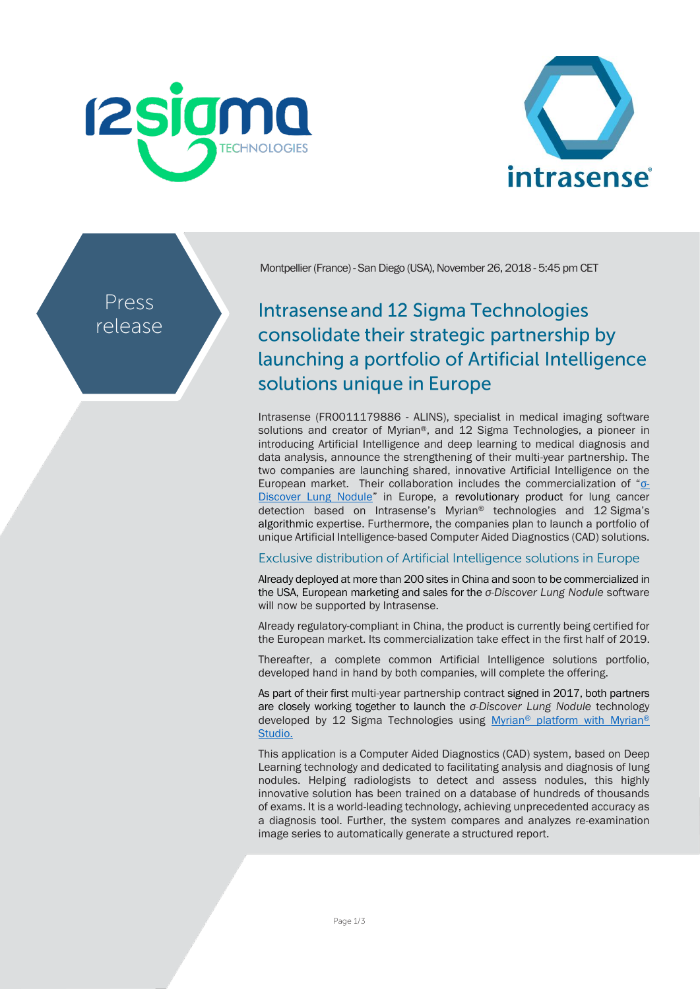



Press release Montpellier (France) - San Diego (USA), November 26, 2018 - 5:45 pm CET

# **Intrasense and 12 Sigma Technologies** consolidate their strategic partnership by launching a portfolio of Artificial Intelligence solutions unique in Europe

Intrasense (FR0011179886 - ALINS), specialist in medical imaging software solutions and creator of Myrian®, and 12 Sigma Technologies, a pioneer in introducing Artificial Intelligence and deep learning to medical diagnosis and data analysis, announce the strengthening of their multi-year partnership. The two companies are launching shared, innovative Artificial Intelligence on the European market. Their collaboration includes the commercialization of ["σ](http://www.12sigma.cn/en/Products/diagnosis/)-[Discover Lung](http://www.12sigma.cn/en/Products/diagnosis/) Nodule" in Europe, a revolutionary product for lung cancer detection based on Intrasense's Myrian® technologies and 12 Sigma's algorithmic expertise. Furthermore, the companies plan to launch a portfolio of unique Artificial Intelligence-based Computer Aided Diagnostics (CAD) solutions.

## Exclusive distribution of Artificial Intelligence solutions in Europe

Already deployed at more than 200 sites in China and soon to be commercialized in the USA, European marketing and sales for the *σ-Discover Lung Nodule* software will now be supported by Intrasense.

Already regulatory-compliant in China, the product is currently being certified for the European market. Its commercialization take effect in the first half of 2019.

Thereafter, a complete common Artificial Intelligence solutions portfolio, developed hand in hand by both companies, will complete the offering.

As part of their first multi-year partnership contract signed in 2017, both partners are closely working together to launch the *σ-Discover Lung Nodule* technology developed by 12 Sigma Technologies using Myrian® [platform](http://www.intrasense.fr/wp-content/uploads/2017/09/press-release_Strategy2017-20170928-EN.pdf) with Myrian® Studio.

This application is a Computer Aided Diagnostics (CAD) system, based on Deep Learning technology and dedicated to facilitating analysis and diagnosis of lung nodules. Helping radiologists to detect and assess nodules, this highly innovative solution has been trained on a database of hundreds of thousands of exams. It is a world-leading technology, achieving unprecedented accuracy as a diagnosis tool. Further, the system compares and analyzes re-examination image series to automatically generate a structured report.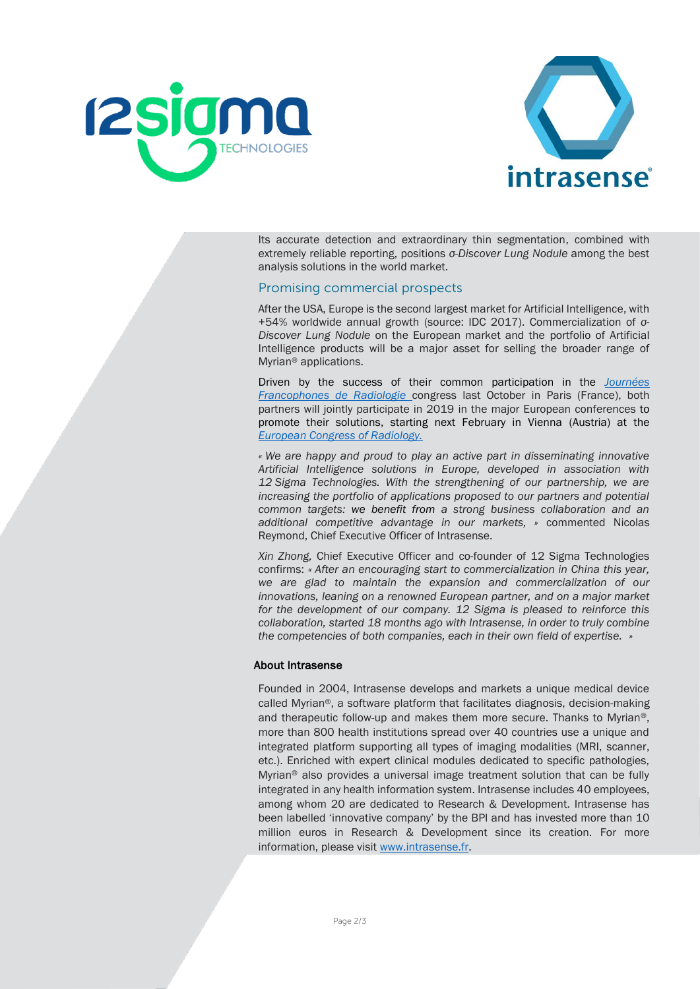



Its accurate detection and extraordinary thin segmentation, combined with extremely reliable reporting, positions *σ-Discover Lung Nodule* among the best analysis solutions in the world market.

### Promising commercial prospects

After the USA, Europe is the second largest market for Artificial Intelligence, with +54% worldwide annual growth (source: IDC 2017). Commercialization of *σ-Discover Lung Nodule* on the European market and the portfolio of Artificial Intelligence products will be a major asset for selling the broader range of Myrian® applications.

Driven by the success of their common participation in the *[Journées](http://www.intrasense.fr/wp-content/uploads/2018/10/CP_Intrasense_JFR_08102018-1.pdf)  [Francophones de Radiologie](http://www.intrasense.fr/wp-content/uploads/2018/10/CP_Intrasense_JFR_08102018-1.pdf)* congress last October in Paris (France), both partners will jointly participate in 2019 in the major European conferences to promote their solutions, starting next February in Vienna (Austria) at the *[European Congress of Radiology.](http://www.ecr2019.org/)*

*« We are happy and proud to play an active part in disseminating innovative Artificial Intelligence solutions in Europe, developed in association with 12 Sigma Technologies. With the strengthening of our partnership, we are increasing the portfolio of applications proposed to our partners and potential common targets: we benefit from a strong business collaboration and an additional competitive advantage in our markets, »* commented Nicolas Reymond, Chief Executive Officer of Intrasense.

*Xin Zhong,* Chief Executive Officer and co-founder of 12 Sigma Technologies confirms: *« After an encouraging start to commercialization in China this year, we are glad to maintain the expansion and commercialization of our innovations, leaning on a renowned European partner, and on a major market for the development of our company. 12 Sigma is pleased to reinforce this collaboration, started 18 months ago with Intrasense, in order to truly combine the competencies of both companies, each in their own field of expertise. »*

### About Intrasense

Founded in 2004, Intrasense develops and markets a unique medical device called Myrian®, a software platform that facilitates diagnosis, decision-making and therapeutic follow-up and makes them more secure. Thanks to Myrian®, more than 800 health institutions spread over 40 countries use a unique and integrated platform supporting all types of imaging modalities (MRI, scanner, etc.). Enriched with expert clinical modules dedicated to specific pathologies, Myrian® also provides a universal image treatment solution that can be fully integrated in any health information system. Intrasense includes 40 employees, among whom 20 are dedicated to Research & Development. Intrasense has been labelled 'innovative company' by the BPI and has invested more than 10 million euros in Research & Development since its creation. For more information, please visit [www.intrasense.fr.](http://www.intrasense.fr/)